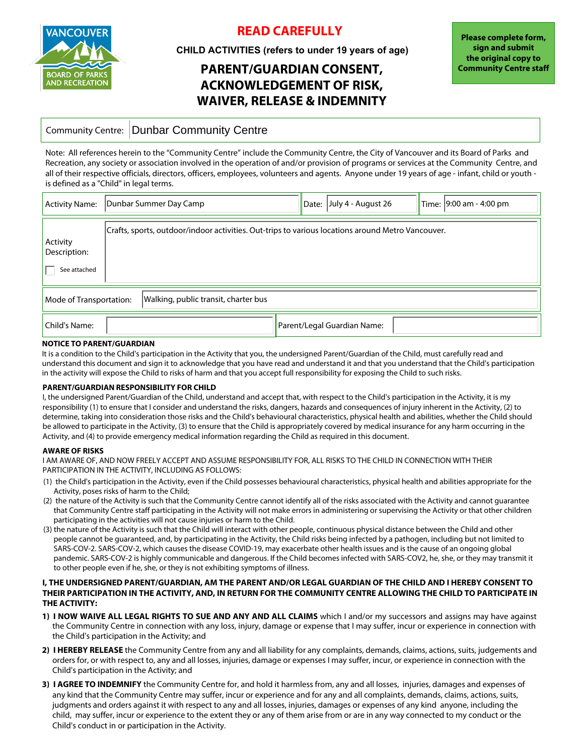

## **READ CAREFULLY**

**CHILD ACTIVITIES (refers to under 19 years of age)**

# **PARENT/GUARDIAN CONSENT, ACKNOWLEDGEMENT OF RISK, WAIVER, RELEASE & INDEMNITY**

### Community Centre: Dunbar Community Centre

Note: All references herein to the "Community Centre" include the Community Centre, the City of Vancouver and its Board of Parks and Recreation, any society or association involved in the operation of and/or provision of programs or services at the Community Centre, and all of their respective officials, directors, officers, employees, volunteers and agents. Anyone under 19 years of age - infant, child or youth is defined as a "Child" in legal terms.

| <b>Activity Name:</b>                                           | Dunbar Summer Day Camp                                                                            | Date: $ $ July 4 - August 26 | Time: 9:00 am - 4:00 pm |  |  |  |  |
|-----------------------------------------------------------------|---------------------------------------------------------------------------------------------------|------------------------------|-------------------------|--|--|--|--|
| Activity<br>Description:<br>See attached                        | Crafts, sports, outdoor/indoor activities. Out-trips to various locations around Metro Vancouver. |                              |                         |  |  |  |  |
| Walking, public transit, charter bus<br>Mode of Transportation: |                                                                                                   |                              |                         |  |  |  |  |
| Child's Name:                                                   |                                                                                                   | Parent/Legal Guardian Name:  |                         |  |  |  |  |

#### **NOTICE TO PARENT/GUARDIAN**

It is a condition to the Child's participation in the Activity that you, the undersigned Parent/Guardian of the Child, must carefully read and understand this document and sign it to acknowledge that you have read and understand it and that you understand that the Child's participation in the activity will expose the Child to risks of harm and that you accept full responsibility for exposing the Child to such risks.

#### **PARENT/GUARDIAN RESPONSIBILITY FOR CHILD**

I, the undersigned Parent/Guardian of the Child, understand and accept that, with respect to the Child's participation in the Activity, it is my responsibility (1) to ensure that I consider and understand the risks, dangers, hazards and consequences of injury inherent in the Activity, (2) to determine, taking into consideration those risks and the Child's behavioural characteristics, physical health and abilities, whether the Child should be allowed to participate in the Activity, (3) to ensure that the Child is appropriately covered by medical insurance for any harm occurring in the Activity, and (4) to provide emergency medical information regarding the Child as required in this document.

#### **AWARE OF RISKS**

I AM AWARE OF, AND NOW FREELY ACCEPT AND ASSUME RESPONSIBILITY FOR, ALL RISKS TO THE CHILD IN CONNECTION WITH THEIR PARTICIPATION IN THE ACTIVITY, INCLUDING AS FOLLOWS:

- (1) the Child's participation in the Activity, even if the Child possesses behavioural characteristics, physical health and abilities appropriate for the Activity, poses risks of harm to the Child;
- (2) the nature of the Activity is such that the Community Centre cannot identify all of the risks associated with the Activity and cannot guarantee that Community Centre staff participating in the Activity will not make errors in administering or supervising the Activity or that other children participating in the activities will not cause injuries or harm to the Child.
- (3) the nature of the Activity is such that the Child will interact with other people, continuous physical distance between the Child and other people cannot be guaranteed, and, by participating in the Activity, the Child risks being infected by a pathogen, including but not limited to SARS-COV-2. SARS-COV-2, which causes the disease COVID-19, may exacerbate other health issues and is the cause of an ongoing global pandemic. SARS-COV-2 is highly communicable and dangerous. If the Child becomes infected with SARS-COV2, he, she, or they may transmit it to other people even if he, she, or they is not exhibiting symptoms of illness.

#### **I, THE UNDERSIGNED PARENT/GUARDIAN, AM THE PARENT AND/OR LEGAL GUARDIAN OF THE CHILD AND I HEREBY CONSENT TO THEIR PARTICIPATION IN THE ACTIVITY, AND, IN RETURN FOR THE COMMUNITY CENTRE ALLOWING THE CHILD TO PARTICIPATE IN THE ACTIVITY:**

- **1) I NOW WAIVE ALL LEGAL RIGHTS TO SUE AND ANY AND ALL CLAIMS** which I and/or my successors and assigns may have against the Community Centre in connection with any loss, injury, damage or expense that I may suffer, incur or experience in connection with the Child's participation in the Activity; and
- **2) I HEREBY RELEASE** the Community Centre from any and all liability for any complaints, demands, claims, actions, suits, judgements and orders for, or with respect to, any and all losses, injuries, damage or expenses I may suffer, incur, or experience in connection with the Child's participation in the Activity; and
- **3) I AGREE TO INDEMNIFY** the Community Centre for, and hold it harmless from, any and all losses, injuries, damages and expenses of any kind that the Community Centre may suffer, incur or experience and for any and all complaints, demands, claims, actions, suits, judgments and orders against it with respect to any and all losses, injuries, damages or expenses of any kind anyone, including the child, may suffer, incur or experience to the extent they or any of them arise from or are in any way connected to my conduct or the Child's conduct in or participation in the Activity.